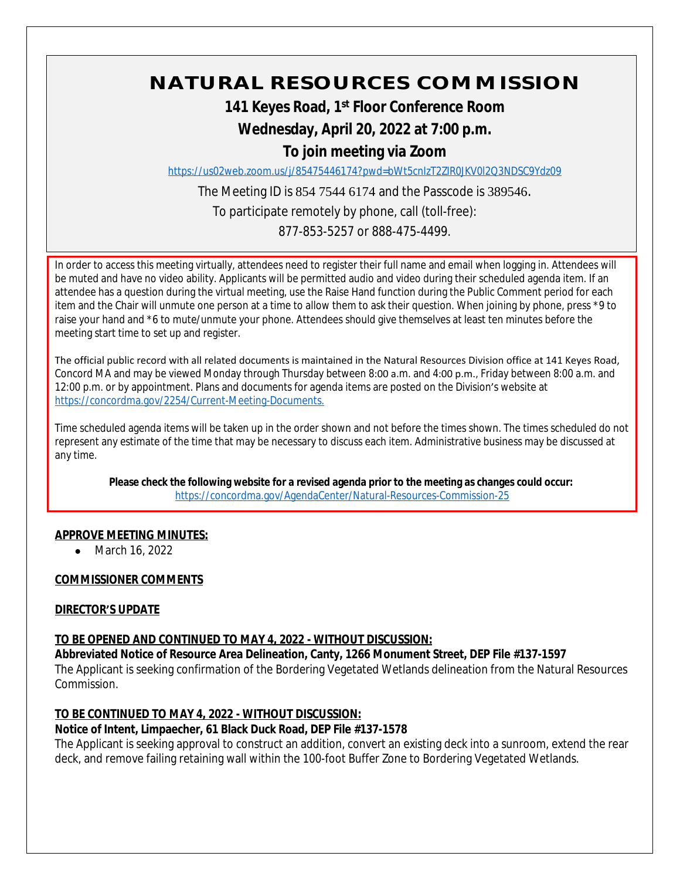# **NATURAL RESOURCES COMMISSION**

# **141 Keyes Road, 1st Floor Conference Room**

# **Wednesday, April 20, 2022 at 7:00 p.m.**

# **To join meeting via Zoom**

<https://us02web.zoom.us/j/85475446174?pwd=bWt5cnIzT2ZIR0JKV0l2Q3NDSC9Ydz09>

The Meeting ID is 854 7544 6174 and the Passcode is 389546.

To participate remotely by phone, call (toll-free):

877-853-5257 or 888-475-4499.

In order to access this meeting virtually, attendees need to register their full name and email when logging in. Attendees will be muted and have no video ability. Applicants will be permitted audio and video during their scheduled agenda item. If an attendee has a question during the virtual meeting, use the Raise Hand function during the Public Comment period for each item and the Chair will unmute one person at a time to allow them to ask their question. When joining by phone, press \*9 to raise your hand and \*6 to mute/unmute your phone. Attendees should give themselves at least ten minutes before the meeting start time to set up and register.

The official public record with all related documents is maintained in the Natural Resources Division office at 141 Keyes Road, Concord MA and may be viewed Monday through Thursday between 8:00 a.m. and 4:00 p.m., Friday between 8:00 a.m. and 12:00 p.m. or by appointment. Plans and documents for agenda items are posted on the Division's website at [https://concordma.gov/2254/Current-Meeting-Documents.](https://concordma.gov/2254/Current-Meeting-Documents)

Time scheduled agenda items will be taken up in the order shown and not before the times shown. The times scheduled do not represent any estimate of the time that may be necessary to discuss each item. Administrative business may be discussed at any time.

**Please check the following website for a revised agenda prior to the meeting as changes could occur:**  <https://concordma.gov/AgendaCenter/Natural-Resources-Commission-25>

## **APPROVE MEETING MINUTES:**

• March 16, 2022

## **COMMISSIONER COMMENTS**

## **DIRECTOR'S UPDATE**

## **TO BE OPENED AND CONTINUED TO MAY 4, 2022 - WITHOUT DISCUSSION:**

**Abbreviated Notice of Resource Area Delineation, Canty, 1266 Monument Street, DEP File #137-1597** The Applicant is seeking confirmation of the Bordering Vegetated Wetlands delineation from the Natural Resources Commission.

## **TO BE CONTINUED TO MAY 4, 2022 - WITHOUT DISCUSSION:**

## **Notice of Intent, Limpaecher, 61 Black Duck Road, DEP File #137-1578**

The Applicant is seeking approval to construct an addition, convert an existing deck into a sunroom, extend the rear deck, and remove failing retaining wall within the 100-foot Buffer Zone to Bordering Vegetated Wetlands.